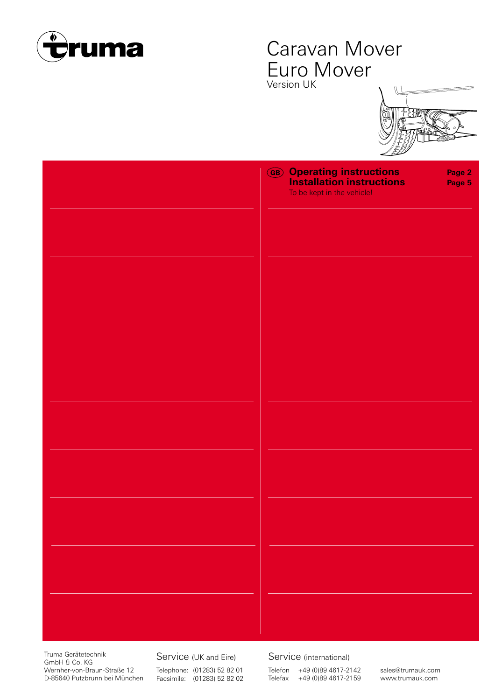

## Caravan Mover Euro Mover Version UK

| <b>GB</b> Operating instructions<br>Installation instructions<br>To be kept in the vehicle! | Page 2<br>Page 5 |
|---------------------------------------------------------------------------------------------|------------------|
|                                                                                             |                  |
|                                                                                             |                  |
|                                                                                             |                  |
|                                                                                             |                  |
|                                                                                             |                  |
|                                                                                             |                  |
|                                                                                             |                  |
|                                                                                             |                  |
|                                                                                             |                  |
|                                                                                             |                  |

Truma Gerätetechnik GmbH & Co. KG Wernher-von-Braun-Straße 12 D-85640 Putzbrunn bei München

Service (UK and Eire) Telephone: (01283) 52 82 01 Facsimile: (01283) 52 82 02 Service (international)

Telefon +49 (0)89 4617-2142 Telefax +49 (0)89 4617-2159 sales@trumauk.com www.trumauk.com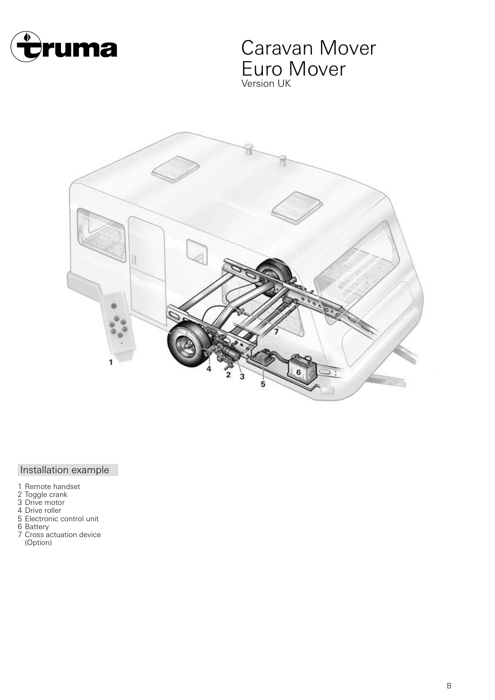

## Caravan Mover Euro Mover Version UK



## Installation example

- 1 Remote handset
- 2 Toggle crank
- 3 Drive motor
- 4 Drive roller
- 5 Electronic control unit
- 6 Battery
- 7 Cross actuation device (Option)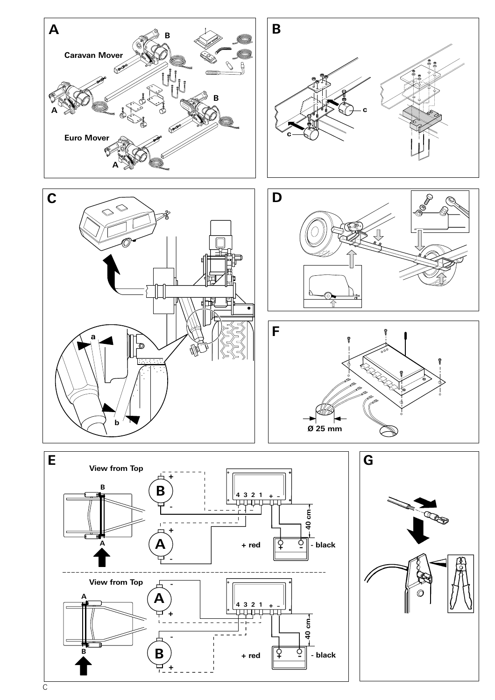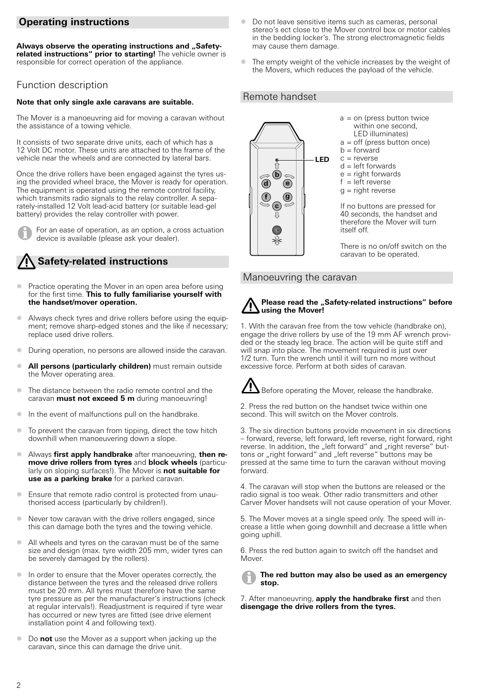## **Operating instructions**

Always observe the operating instructions and "Safety**related instructions" prior to starting!** The vehicle owner is responsible for correct operation of the appliance.

#### Function description

#### **Note that only single axle caravans are suitable.**

The Mover is a manoeuvring aid for moving a caravan without the assistance of a towing vehicle.

It consists of two separate drive units, each of which has a 12 Volt DC motor. These units are attached to the frame of the vehicle near the wheels and are connected by lateral bars.

Once the drive rollers have been engaged against the tyres using the provided wheel brace, the Mover is ready for operation. The equipment is operated using the remote control facility, which transmits radio signals to the relay controller. A separately-installed 12 Volt lead-acid battery (or suitable lead-gel battery) provides the relay controller with power.

For an ease of operation, as an option, a cross actuation device is available (please ask your dealer).

## **Safety-related instructions**

- $\bullet$  Practice operating the Mover in an open area before using for the first time. **This to fully familiarise yourself with the handset/mover operation.**
- Always check tyres and drive rollers before using the equipment; remove sharp-edged stones and the like if necessary; replace used drive rollers.
- $\bullet$ During operation, no persons are allowed inside the caravan.
- $\bullet$  **All persons (particularly children)** must remain outside the Mover operating area.
- $\bullet$  The distance between the radio remote control and the caravan **must not exceed 5 m** during manoeuvring!
- -In the event of malfunctions pull on the handbrake.
- - To prevent the caravan from tipping, direct the tow hitch downhill when manoeuvering down a slope.
- **Always first apply handbrake** after manoeuvring, then re**move drive rollers from tyres** and **block wheels** (particularly on sloping surfaces!). The Mover is **not suitable for use as a parking brake** for a parked caravan.
- $\bullet$  Ensure that remote radio control is protected from unauthorised access (particularly by children!).
- - Never tow caravan with the drive rollers engaged, since this can damage both the tyres and the towing vehicle.
- All wheels and tyres on the caravan must be of the same size and design (max. tyre width 205 mm, wider tyres can be severely damaged by the rollers).
- - In order to ensure that the Mover operates correctly, the distance between the tyres and the released drive rollers must be 20 mm. All tyres must therefore have the same tyre pressure as per the manufacturer's instructions (check at regular intervals!). Readjustment is required if tyre wear has occurred or new tyres are fitted (see drive element installation point 4 and following text).
- $\bullet$  Do **not** use the Mover as a support when jacking up the caravan, since this can damage the drive unit.
- $\bullet$  Do not leave sensitive items such as cameras, personal stereo's ect close to the Mover control box or motor cables in the bedding locker's. The strong electromagnetic fields may cause them damage.
- - The empty weight of the vehicle increases by the weight of the Movers, which reduces the payload of the vehicle.

#### Remote handset



There is no on/off switch on the caravan to be operated.

#### Manoeuvring the caravan



1. With the caravan free from the tow vehicle (handbrake on), engage the drive rollers by use of the 19 mm AF wrench provided or the steady leg brace. The action will be quite stiff and will snap into place. The movement required is just over 1/2 turn. Turn the wrench until it will turn no more without excessive force. Perform at both sides of caravan.

Before operating the Mover, release the handbrake.

2. Press the red button on the handset twice within one second. This will switch on the Mover controls.

3. The six direction buttons provide movement in six directions – forward, reverse, left forward, left reverse, right forward, right reverse. In addition, the "left forward" and "right reverse" buttons or "right forward" and "left reverse" buttons may be pressed at the same time to turn the caravan without moving forward.

4. The caravan will stop when the buttons are released or the radio signal is too weak. Other radio transmitters and other Carver Mover handsets will not cause operation of your Mover.

5. The Mover moves at a single speed only. The speed will increase a little when going downhill and decrease a little when going uphill.

6. Press the red button again to switch off the handset and Mover.

**The red button may also be used as an emergency stop.**

7. After manoeuvring, **apply the handbrake first** and then **disengage the drive rollers from the tyres.**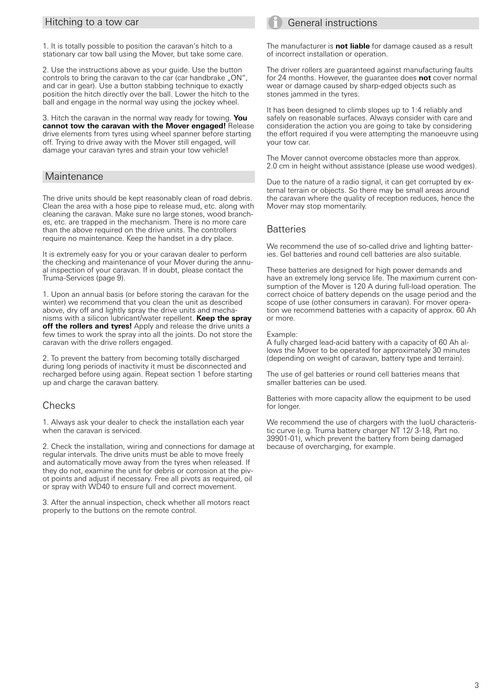#### Hitching to a tow car

1. It is totally possible to position the caravan's hitch to a stationary car tow ball using the Mover, but take some care.

2. Use the instructions above as your guide. Use the button controls to bring the caravan to the car (car handbrake "ON", and car in gear). Use a button stabbing technique to exactly position the hitch directly over the ball. Lower the hitch to the ball and engage in the normal way using the jockey wheel.

3. Hitch the caravan in the normal way ready for towing. **You cannot tow the caravan with the Mover engaged!** Release drive elements from tyres using wheel spanner before starting off. Trying to drive away with the Mover still engaged, will damage your caravan tyres and strain your tow vehicle!

#### **Maintenance**

The drive units should be kept reasonably clean of road debris. Clean the area with a hose pipe to release mud, etc. along with cleaning the caravan. Make sure no large stones, wood branches, etc. are trapped in the mechanism. There is no more care than the above required on the drive units. The controllers require no maintenance. Keep the handset in a dry place.

It is extremely easy for you or your caravan dealer to perform the checking and maintenance of your Mover during the annual inspection of your caravan. If in doubt, please contact the Truma-Services (page 9).

1. Upon an annual basis (or before storing the caravan for the winter) we recommend that you clean the unit as described above, dry off and lightly spray the drive units and mechanisms with a silicon lubricant/water repellent. **Keep the spray off the rollers and tyres!** Apply and release the drive units a few times to work the spray into all the joints. Do not store the caravan with the drive rollers engaged.

2. To prevent the battery from becoming totally discharged during long periods of inactivity it must be disconnected and recharged before using again. Repeat section 1 before starting up and charge the caravan battery.

#### **Checks**

1. Always ask your dealer to check the installation each year when the caravan is serviced.

2. Check the installation, wiring and connections for damage at regular intervals. The drive units must be able to move freely and automatically move away from the tyres when released. If they do not, examine the unit for debris or corrosion at the pivot points and adjust if necessary. Free all pivots as required, oil or spray with WD40 to ensure full and correct movement.

3. After the annual inspection, check whether all motors react properly to the buttons on the remote control.

## General instructions

The manufacturer is **not liable** for damage caused as a result of incorrect installation or operation.

The driver rollers are guaranteed against manufacturing faults for 24 months. However, the guarantee does **not** cover normal wear or damage caused by sharp-edged objects such as stones jammed in the tyres.

It has been designed to climb slopes up to 1:4 reliably and safely on reasonable surfaces. Always consider with care and consideration the action you are going to take by considering the effort required if you were attempting the manoeuvre using your tow car.

The Mover cannot overcome obstacles more than approx. 2.0 cm in height without assistance (please use wood wedges).

Due to the nature of a radio signal, it can get corrupted by external terrain or objects. So there may be small areas around the caravan where the quality of reception reduces, hence the Mover may stop momentarily.

#### **Batteries**

We recommend the use of so-called drive and lighting batteries. Gel batteries and round cell batteries are also suitable.

These batteries are designed for high power demands and have an extremely long service life. The maximum current consumption of the Mover is 120 A during full-load operation. The correct choice of battery depends on the usage period and the scope of use (other consumers in caravan). For mover operation we recommend batteries with a capacity of approx. 60 Ah or more.

Example:

A fully charged lead-acid battery with a capacity of 60 Ah allows the Mover to be operated for approximately 30 minutes (depending on weight of caravan, battery type and terrain).

The use of gel batteries or round cell batteries means that smaller batteries can be used.

Batteries with more capacity allow the equipment to be used for longer.

We recommend the use of chargers with the IuoU characteristic curve (e.g. Truma battery charger NT 12/ 3-18, Part no. 39901-01), which prevent the battery from being damaged because of overcharging, for example.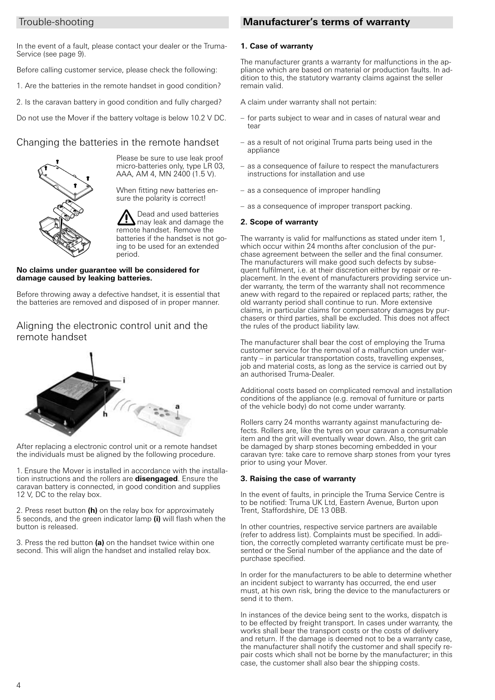#### Trouble-shooting

In the event of a fault, please contact your dealer or the Truma-Service (see page 9).

Before calling customer service, please check the following:

1. Are the batteries in the remote handset in good condition?

2. Is the caravan battery in good condition and fully charged?

Do not use the Mover if the battery voltage is below 10.2 V DC.

## Changing the batteries in the remote handset



Please be sure to use leak proof micro-batteries only, type LR 03, AAA, AM 4, MN 2400 (1.5 V).

When fitting new batteries ensure the polarity is correct!

Dead and used batteries may leak and damage the remote handset. Remove the batteries if the handset is not going to be used for an extended period.

#### **No claims under guarantee will be considered for damage caused by leaking batteries.**

Before throwing away a defective handset, it is essential that the batteries are removed and disposed of in proper manner.

## Aligning the electronic control unit and the remote handset



After replacing a electronic control unit or a remote handset the individuals must be aligned by the following procedure.

1. Ensure the Mover is installed in accordance with the installation instructions and the rollers are **disengaged**. Ensure the caravan battery is connected, in good condition and supplies 12 V, DC to the relay box.

2. Press reset button **(h)** on the relay box for approximately 5 seconds, and the green indicator lamp **(i)** will flash when the button is released.

3. Press the red button **(a)** on the handset twice within one second. This will align the handset and installed relay box.

## **Manufacturer's terms of warranty**

#### **1. Case of warranty**

The manufacturer grants a warranty for malfunctions in the appliance which are based on material or production faults. In addition to this, the statutory warranty claims against the seller remain valid.

A claim under warranty shall not pertain:

- for parts subject to wear and in cases of natural wear and tear
- as a result of not original Truma parts being used in the appliance
- as a consequence of failure to respect the manufacturers instructions for installation and use
- as a consequence of improper handling
- as a consequence of improper transport packing.

#### **2. Scope of warranty**

The warranty is valid for malfunctions as stated under item 1, which occur within 24 months after conclusion of the purchase agreement between the seller and the final consumer. The manufacturers will make good such defects by subsequent fulfilment, i.e. at their discretion either by repair or replacement. In the event of manufacturers providing service under warranty, the term of the warranty shall not recommence anew with regard to the repaired or replaced parts; rather, the old warranty period shall continue to run. More extensive claims, in particular claims for compensatory damages by purchasers or third parties, shall be excluded. This does not affect the rules of the product liability law.

The manufacturer shall bear the cost of employing the Truma customer service for the removal of a malfunction under warranty – in particular transportation costs, travelling expenses, job and material costs, as long as the service is carried out by an authorised Truma-Dealer.

Additional costs based on complicated removal and installation conditions of the appliance (e.g. removal of furniture or parts of the vehicle body) do not come under warranty.

Rollers carry 24 months warranty against manufacturing defects. Rollers are, like the tyres on your caravan a consumable item and the grit will eventually wear down. Also, the grit can be damaged by sharp stones becoming embedded in your caravan tyre: take care to remove sharp stones from your tyres prior to using your Mover.

#### **3. Raising the case of warranty**

In the event of faults, in principle the Truma Service Centre is to be notified: Truma UK Ltd, Eastern Avenue, Burton upon Trent, Staffordshire, DE 13 0BB.

In other countries, respective service partners are available (refer to address list). Complaints must be specified. In addition, the correctly completed warranty certificate must be presented or the Serial number of the appliance and the date of purchase specified.

In order for the manufacturers to be able to determine whether an incident subject to warranty has occurred, the end user must, at his own risk, bring the device to the manufacturers or send it to them.

In instances of the device being sent to the works, dispatch is to be effected by freight transport. In cases under warranty, the works shall bear the transport costs or the costs of delivery and return. If the damage is deemed not to be a warranty case, the manufacturer shall notify the customer and shall specify repair costs which shall not be borne by the manufacturer; in this case, the customer shall also bear the shipping costs.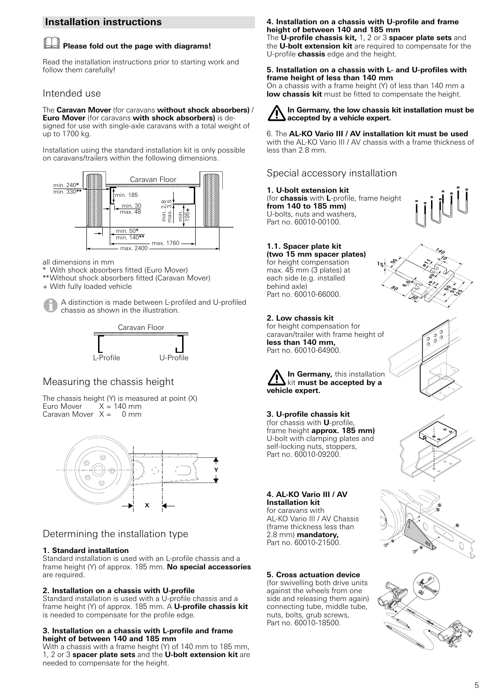## **Installation instructions**

#### **Please fold out the page with diagrams!**

Read the installation instructions prior to starting work and follow them carefully!

#### Intended use

The **Caravan Mover** (for caravans **without shock absorbers)** / **Euro Mover** (for caravans **with shock absorbers)** is designed for use with single-axle caravans with a total weight of up to 1700 kg.

Installation using the standard installation kit is only possible on caravans/trailers within the following dimensions.



all dimensions in mm

- With shock absorbers fitted (Euro Mover)
- \*\*Without shock absorbers fitted (Caravan Mover)

+ With fully loaded vehicle



A distinction is made between L-profiled and U-profiled chassis as shown in the illustration.



## Measuring the chassis height

The chassis height (Y) is measured at point (X)<br>Furo Mover  $X = 140$  mm  $X = 140$  mm<br> $X = 0$  mm Caravan Mover  $X =$ 



## Determining the installation type

#### **1. Standard installation**

Standard installation is used with an L-profile chassis and a frame height (Y) of approx. 185 mm. **No special accessories** are required.

#### **2. Installation on a chassis with U-profile**

Standard installation is used with a U-profile chassis and a frame height (Y) of approx. 185 mm. A **U-profile chassis kit** is needed to compensate for the profile edge.

#### **3. Installation on a chassis with L-profile and frame height of between 140 and 185 mm**

With a chassis with a frame height (Y) of 140 mm to 185 mm, 1, 2 or 3 **spacer plate sets** and the **U-bolt extension kit** are needed to compensate for the height.

#### **4. Installation on a chassis with U-profile and frame height of between 140 and 185 mm**

The **U-profile chassis kit,** 1, 2 or 3 **spacer plate sets** and the **U-bolt extension kit** are required to compensate for the U-profile **chassis** edge and the height.

#### **5. Installation on a chassis with L- and U-profiles with frame height of less than 140 mm**

On a chassis with a frame height (Y) of less than 140 mm a **low chassis kit** must be fitted to compensate the height.

#### **In Germany, the low chassis kit installation must be accepted by a vehicle expert.**

6. The **AL-KO Vario III / AV installation kit must be used** with the AL-KO Vario III / AV chassis with a frame thickness of less than 2.8 mm.

**15**

**50**

**80 6,5**

## Special accessory installation

**1. U-bolt extension kit** (for **chassis** with **L**-profile, frame height **from 140 to 185 mm)** U-bolts, nuts and washers, Part no. 60010-00100.



**140 10**

> **60 94 129**

**ø11 ø9**

<u>چو</u>

**30**

## **1.1. Spacer plate kit**

**(two 15 mm spacer plates)** for height compensation max. 45 mm (3 plates) at each side (e.g. installed behind axle) Part no. 60010-66000.

#### **2. Low chassis kit**

for height compensation for caravan/trailer with frame height of **less than 140 mm,** Part no. 60010-64900.



**3. U-profile chassis kit**  (for chassis with **U**-profile, frame height **approx. 185 mm)** U-bolt with clamping plates and self-locking nuts, stoppers, Part no. 60010-09200.

#### **4. AL-KO Vario III / AV Installation kit**

for caravans with AL-KO Vario III / AV Chassis (frame thickness less than 2.8 mm) **mandatory,** Part no. 60010-21500.

#### **5. Cross actuation device**

(for swivelling both drive units against the wheels from one side and releasing them again) connecting tube, middle tube, nuts, bolts, grub screws, Part no. 60010-18500.



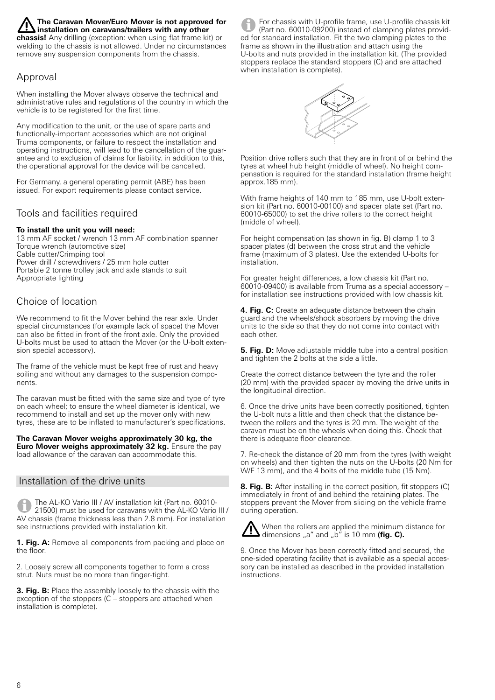#### **The Caravan Mover/Euro Mover is not approved for installation on caravans/trailers with any other**

**chassis!** Any drilling (exception: when using flat frame kit) or welding to the chassis is not allowed. Under no circumstances remove any suspension components from the chassis.

## Approval

When installing the Mover always observe the technical and administrative rules and regulations of the country in which the vehicle is to be registered for the first time.

Any modification to the unit, or the use of spare parts and functionally-important accessories which are not original Truma components, or failure to respect the installation and operating instructions, will lead to the cancellation of the guarantee and to exclusion of claims for liability. in addition to this, the operational approval for the device will be cancelled.

For Germany, a general operating permit (ABE) has been issued. For export requirements please contact service.

## Tools and facilities required

#### **To install the unit you will need:**

13 mm AF socket / wrench 13 mm AF combination spanner Torque wrench (automotive size) Cable cutter/Crimping tool Power drill / screwdrivers / 25 mm hole cutter Portable 2 tonne trolley jack and axle stands to suit Appropriate lighting

## Choice of location

We recommend to fit the Mover behind the rear axle. Under special circumstances (for example lack of space) the Mover can also be fitted in front of the front axle. Only the provided U-bolts must be used to attach the Mover (or the U-bolt extension special accessory).

The frame of the vehicle must be kept free of rust and heavy soiling and without any damages to the suspension components.

The caravan must be fitted with the same size and type of tyre on each wheel; to ensure the wheel diameter is identical, we recommend to install and set up the mover only with new tyres, these are to be inflated to manufacturer's specifications.

**The Caravan Mover weighs approximately 30 kg, the Euro Mover weighs approximately 32 kg.** Ensure the pay load allowance of the caravan can accommodate this.

#### Installation of the drive units

The AL-KO Vario III / AV installation kit (Part no. 60010- 21500) must be used for caravans with the AL-KO Vario III / AV chassis (frame thickness less than 2.8 mm). For installation see instructions provided with installation kit.

**1. Fig. A:** Remove all components from packing and place on the floor.

2. Loosely screw all components together to form a cross strut. Nuts must be no more than finger-tight.

**3. Fig. B:** Place the assembly loosely to the chassis with the exception of the stoppers (C – stoppers are attached when installation is complete).

For chassis with U-profile frame, use U-profile chassis kit (Part no. 60010-09200) instead of clamping plates provided for standard installation. Fit the two clamping plates to the frame as shown in the illustration and attach using the U-bolts and nuts provided in the installation kit. (The provided stoppers replace the standard stoppers (C) and are attached when installation is complete).



Position drive rollers such that they are in front of or behind the tyres at wheel hub height (middle of wheel). No height compensation is required for the standard installation (frame height approx.185 mm).

With frame heights of 140 mm to 185 mm, use U-bolt extension kit (Part no. 60010-00100) and spacer plate set (Part no. 60010-65000) to set the drive rollers to the correct height (middle of wheel).

For height compensation (as shown in fig. B) clamp 1 to 3 spacer plates (d) between the cross strut and the vehicle frame (maximum of 3 plates). Use the extended U-bolts for installation.

For greater height differences, a low chassis kit (Part no. 60010-09400) is available from Truma as a special accessory – for installation see instructions provided with low chassis kit.

**4. Fig. C:** Create an adequate distance between the chain guard and the wheels/shock absorbers by moving the drive units to the side so that they do not come into contact with each other.

**5. Fig. D:** Move adjustable middle tube into a central position and tighten the 2 bolts at the side a little.

Create the correct distance between the tyre and the roller (20 mm) with the provided spacer by moving the drive units in the longitudinal direction.

6. Once the drive units have been correctly positioned, tighten the U-bolt nuts a little and then check that the distance between the rollers and the tyres is 20 mm. The weight of the caravan must be on the wheels when doing this. Check that there is adequate floor clearance.

7. Re-check the distance of 20 mm from the tyres (with weight on wheels) and then tighten the nuts on the U-bolts (20 Nm for W/F 13 mm), and the  $\overline{4}$  bolts of the middle tube (15 Nm).

**8. Fig. B:** After installing in the correct position, fit stoppers (C) immediately in front of and behind the retaining plates. The stoppers prevent the Mover from sliding on the vehicle frame during operation.



When the rollers are applied the minimum distance for **dimensions** <sub>a</sub> and applied the time **diplomand of the set of the dimensions** and a b<sup>or</sup> is 10 mm **(fig. C).** 

9. Once the Mover has been correctly fitted and secured, the one-sided operating facility that is available as a special accessory can be installed as described in the provided installation instructions.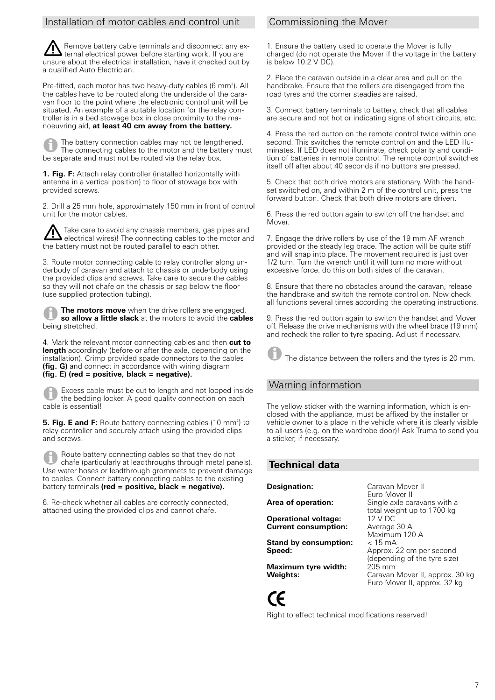#### Installation of motor cables and control unit

Remove battery cable terminals and disconnect any external electrical power before starting work. If you are unsure about the electrical installation, have it checked out by a qualified Auto Electrician.

Pre-fitted, each motor has two heavy-duty cables (6 mm<sup>2</sup>). All the cables have to be routed along the underside of the caravan floor to the point where the electronic control unit will be situated. An example of a suitable location for the relay controller is in a bed stowage box in close proximity to the manoeuvring aid, **at least 40 cm away from the battery.**

The battery connection cables may not be lengthened. The connecting cables to the motor and the battery must be separate and must not be routed via the relay box.

**1. Fig. F:** Attach relay controller (installed horizontally with antenna in a vertical position) to floor of stowage box with provided screws.

2. Drill a 25 mm hole, approximately 150 mm in front of control unit for the motor cables.

Take care to avoid any chassis members, gas pipes and electrical wires)! The connecting cables to the motor and the battery must not be routed parallel to each other.

3. Route motor connecting cable to relay controller along underbody of caravan and attach to chassis or underbody using the provided clips and screws. Take care to secure the cables so they will not chafe on the chassis or sag below the floor (use supplied protection tubing).

**The motors move** when the drive rollers are engaged, **so allow a little slack** at the motors to avoid the **cables** being stretched.

4. Mark the relevant motor connecting cables and then **cut to length** accordingly (before or after the axle, depending on the installation). Crimp provided spade connectors to the cables **(fig. G)** and connect in accordance with wiring diagram **(fig. E) (red = positive, black = negative).**

Excess cable must be cut to length and not looped inside the bedding locker. A good quality connection on each cable is essential!

**5. Fig. E and F:** Route battery connecting cables (10 mm<sup>2</sup>) to relay controller and securely attach using the provided clips and screws.

Route battery connecting cables so that they do not chafe (particularly at leadthroughs through metal panels). Use water hoses or leadthrough grommets to prevent damage to cables. Connect battery connecting cables to the existing battery terminals **(red = positive, black = negative).**

6. Re-check whether all cables are correctly connected, attached using the provided clips and cannot chafe.

## Commissioning the Mover

1. Ensure the battery used to operate the Mover is fully charged (do not operate the Mover if the voltage in the battery is below 10.2 V DC).

2. Place the caravan outside in a clear area and pull on the handbrake. Ensure that the rollers are disengaged from the road tyres and the corner steadies are raised.

3. Connect battery terminals to battery, check that all cables are secure and not hot or indicating signs of short circuits, etc.

4. Press the red button on the remote control twice within one second. This switches the remote control on and the LED illuminates. If LED does not illuminate, check polarity and condition of batteries in remote control. The remote control switches itself off after about 40 seconds if no buttons are pressed.

5. Check that both drive motors are stationary. With the handset switched on, and within 2 m of the control unit, press the forward button. Check that both drive motors are driven.

6. Press the red button again to switch off the handset and Mover.

7. Engage the drive rollers by use of the 19 mm AF wrench provided or the steady leg brace. The action will be quite stiff and will snap into place. The movement required is just over 1/2 turn. Turn the wrench until it will turn no more without excessive force. do this on both sides of the caravan.

8. Ensure that there no obstacles around the caravan, release the handbrake and switch the remote control on. Now check all functions several times according the operating instructions.

9. Press the red button again to switch the handset and Mover off. Release the drive mechanisms with the wheel brace (19 mm) and recheck the roller to tyre spacing. Adjust if necessary.

The distance between the rollers and the tyres is 20 mm.

## Warning information

The yellow sticker with the warning information, which is enclosed with the appliance, must be affixed by the installer or vehicle owner to a place in the vehicle where it is clearly visible to all users (e.g. on the wardrobe door)! Ask Truma to send you a sticker, if necessary.

## **Technical data**

**Operational voltage:** 12 V DC<br>**Current consumption:** Average 30 A **Current consumption:** 

**Stand by consumption:**  $\langle 15 \text{ mA} \rangle$ <br>**Speed:** Approx.

**Maximum tyre width:**<br>Weights:

**Designation:** Caravan Mover II Euro Mover II Area of operation: Single axle caravans with a total weight up to 1700 kg<br>12 V DC Maximum 120 A **Speed:** Approx. 22 cm per second (depending of the tyre size) **Weights:** Caravan Mover II, approx. 30 kg Euro Mover II, approx. 32 kg

CE

Right to effect technical modifications reserved!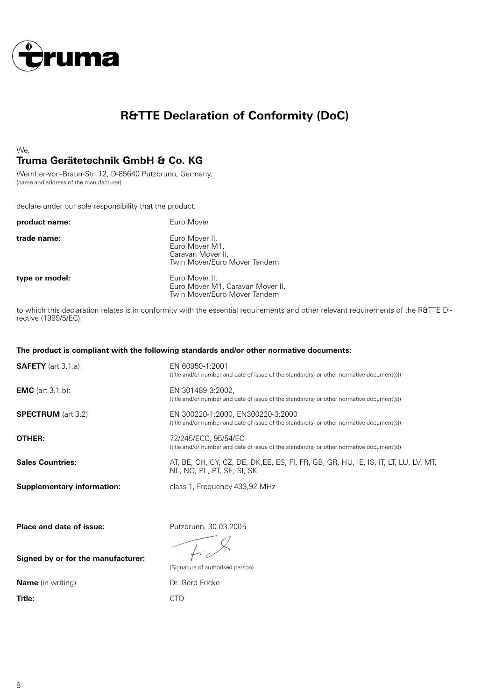

## **R&TTE Declaration of Conformity (DoC)**

## We, **Truma Gerätetechnik GmbH & Co. KG**

Wernher-von-Braun-Str. 12, D-85640 Putzbrunn, Germany, (name and address of the manufacturer)

declare under our sole responsibility that the product:

| product name:  | Euro Mover                                                                            |
|----------------|---------------------------------------------------------------------------------------|
| trade name:    | Euro Mover II,<br>Euro Mover M1.<br>Caravan Mover II,<br>Twin Mover/Euro Mover Tandem |
| type or model: | Euro Mover II,<br>Euro Mover M1, Caravan Mover II,<br>Twin Mover/Euro Mover Tandem    |

to which this declaration relates is in conformity with the essential requirements and other relevant requirements of the R&TTE Directive (1999/5/EC).

#### **The product is compliant with the following standards and/or other normative documents:**

| <b>SAFETY</b> (art 3.1.a):        | EN 60950-1:2001<br>(title and/or number and date of issue of the standard(s) or other normative document(s))                   |
|-----------------------------------|--------------------------------------------------------------------------------------------------------------------------------|
| <b>EMC</b> (art $3.1$ b):         | EN 301489-3:2002,<br>(title and/or number and date of issue of the standard(s) or other normative document(s))                 |
| <b>SPECTRUM</b> (art 3.2):        | EN 300220-1:2000, EN300220-3:2000<br>(title and/or number and date of issue of the standard(s) or other normative document(s)) |
| OTHER:                            | 72/245/ECC, 95/54/EC<br>(title and/or number and date of issue of the standard(s) or other normative document(s))              |
| <b>Sales Countries:</b>           | AT, BE, CH, CY, CZ, DE, DK, EE, ES, FI, FR, GB, GR, HU, IE, IS, IT, LT, LU, LV, MT,<br>NL, NO, PL, PT, SE, SI, SK              |
| <b>Supplementary information:</b> | class 1, Frequency 433,92 MHz                                                                                                  |
| Place and date of issue:          | Putzbrunn, 30.03.2005                                                                                                          |
|                                   |                                                                                                                                |

**Signed by or for the manufacturer:**

**Name** (in writing) **Dr. Gerd Fricke** 

**Title:** CTO

 $f^{\dagger}$ (Signature of authorised person)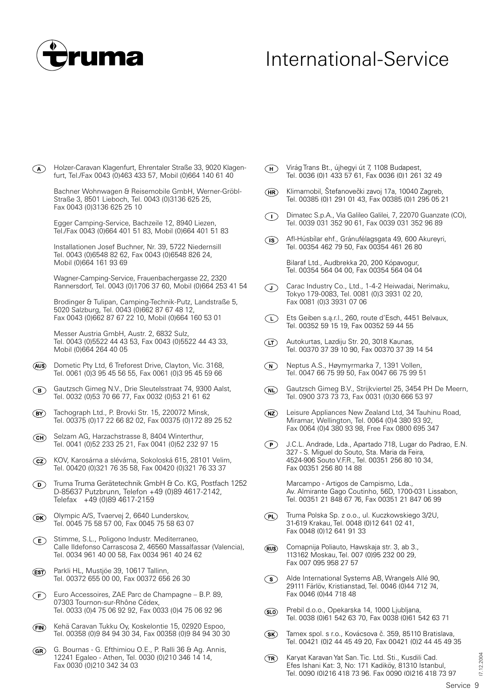

# International-Service

Holzer-Caravan Klagenfurt, Ehrentaler Straße 33, 9020 Klagen- $\bigcirc$ furt, Tel./Fax 0043 (0)463 433 57, Mobil (0)664 140 61 40

Bachner Wohnwagen & Reisemobile GmbH, Werner-Gröbl-Straße 3, 8501 Lieboch, Tel. 0043 (0)3136 625 25, Fax 0043 (0)3136 625 25 10

Egger Camping-Service, Bachzeile 12, 8940 Liezen, Tel./Fax 0043 (0)664 401 51 83, Mobil (0)664 401 51 83

Installationen Josef Buchner, Nr. 39, 5722 Niedernsill Tel. 0043 (0)6548 82 62, Fax 0043 (0)6548 826 24, Mobil (0)664 161 93 69

Wagner-Camping-Service, Frauenbachergasse 22, 2320 Rannersdorf, Tel. 0043 (0)1706 37 60, Mobil (0)664 253 41 54

Brodinger & Tulipan, Camping-Technik-Putz, Landstraße 5, 5020 Salzburg, Tel. 0043 (0)662 87 67 48 12, Fax 0043 (0)662 87 67 22 10, Mobil (0)664 160 53 01

Messer Austria GmbH, Austr. 2, 6832 Sulz, Tel. 0043 (0)5522 44 43 53, Fax 0043 (0)5522 44 43 33, Mobil (0)664 264 40 05

- (AUS) Dometic Pty Ltd, 6 Treforest Drive, Clayton, Vic. 3168, Tel. 0061 (0)3 95 45 56 55, Fax 0061 (0)3 95 45 59 66
- Gautzsch Gimeg N.V., Drie Sleutelsstraat 74, 9300 Aalst,  $\bigcirc$ Tel. 0032 (0)53 70 66 77, Fax 0032 (0)53 21 61 62
- $\binom{B}{}$ Tachograph Ltd., P. Brovki Str. 15, 220072 Minsk, Tel. 00375 (0)17 22 66 82 02, Fax 00375 (0)172 89 25 52
- Selzam AG, Harzachstrasse 8, 8404 Winterthur,  $(CH)$ Tel. 0041 (0)52 233 25 21, Fax 0041 (0)52 232 97 15
- KOV, Karosárna a slévárna, Sokoloská 615, 28101 Velim,  $(cz)$ Tel. 00420 (0)321 76 35 58, Fax 00420 (0)321 76 33 37
- Truma Truma Gerätetechnik GmbH & Co. KG, Postfach 1252  $\circledcirc$ D-85637 Putzbrunn, Telefon +49 (0)89 4617-2142, Telefax +49 (0)89 4617-2159
- Olympic A/S, Tvaervej 2, 6640 Lunderskov,  $\widehat{({\tt DK})}$ Tel. 0045 75 58 57 00, Fax 0045 75 58 63 07
- Stimme, S.L., Poligono Industr. Mediterraneo,  $\left(\mathsf{E}\right)$ Calle Ildefonso Carrascosa 2, 46560 Massalfassar (Valencia), Tel. 0034 961 40 00 58, Fax 0034 961 40 24 62
- (EST) Parkli HL, Mustjöe 39, 10617 Tallinn, Tel. 00372 655 00 00, Fax 00372 656 26 30
- Euro Accessoires, ZAE Parc de Champagne B.P. 89,  $\bigodot$ 07303 Tournon-sur-Rhône Cédex, Tel. 0033 (0)4 75 06 92 92, Fax 0033 (0)4 75 06 92 96
- Kehä Caravan Tukku Oy, Koskelontie 15, 02920 Espoo,  $(FN)$ Tel. 00358 (0)9 84 94 30 34, Fax 00358 (0)9 84 94 30 30
- G. Bournas G. Efthimiou O.E., P. Ralli 36 & Ag. Annis,  $\binom{G}{R}$ 12241 Egaleo - Athen, Tel. 0030 (0)210 346 14 14, Fax 0030 (0)210 342 34 03
- Virág Trans Bt., újhegyi út 7, 1108 Budapest,  $\bigcap$ Tel. 0036 (0)1 433 57 61, Fax 0036 (0)1 261 32 49
- $(HR)$ Klimamobil, Štefanovečki zavoj 17a, 10040 Zagreb, Tel. 00385 (0)1 291 01 43, Fax 00385 (0)1 295 05 21
- Dimatec S.p.A., Via Galileo Galilei, 7, 22070 Guanzate (CO),  $\bigcap$ Tel. 0039 031 352 90 61, Fax 0039 031 352 96 89
- Afl-Húsbílar ehf., Gránufélagsgata 49, 600 Akureyri,  $\binom{1}{s}$ Tel. 00354 462 79 50, Fax 00354 461 26 80

Bilaraf Ltd., Audbrekka 20, 200 Kópavogur, Tel. 00354 564 04 00, Fax 00354 564 04 04

- Carac Industry Co., Ltd., 1-4-2 Heiwadai, Nerimaku,  $\bigcirc$ Tokyo 179-0083, Tel. 0081 (0)3 3931 02 20, Fax 0081 (0)3 3931 07 06
- Ets Geiben s.ą.r.l., 260, route d'Esch, 4451 Belvaux,  $(L)$ Tel. 00352 59 15 19, Fax 00352 59 44 55
- Autokurtas, Lazdiju Str. 20, 3018 Kaunas,  $(T)$ Tel. 00370 37 39 10 90, Fax 00370 37 39 14 54
- $\widehat{N}$ Neptus A.S., Høymyrmarka 7, 1391 Vollen, Tel. 0047 66 75 99 50, Fax 0047 66 75 99 51
- $\widehat{N}$ Gautzsch Gimeg B.V., Strijkviertel 25, 3454 PH De Meern, Tel. 0900 373 73 73, Fax 0031 (0)30 666 53 97
- $\widehat{NZ}$ Leisure Appliances New Zealand Ltd, 34 Tauhinu Road, Miramar, Wellington, Tel. 0064 (0)4 380 93 92, Fax 0064 (0)4 380 93 98, Free Fax 0800 695 347
- $\bigodot$ J.C.L. Andrade, Lda., Apartado 718, Lugar do Padrao, E.N. 327 - S. Miguel do Souto, Sta. Maria da Feira, 4524-906 Souto V.F.R., Tel. 00351 256 80 10 34, Fax 00351 256 80 14 88

Marcampo - Artigos de Campismo, Lda., Av. Almirante Gago Coutinho, 56D, 1700-031 Lissabon, Tel. 00351 21 848 67 76, Fax 00351 21 847 06 99

- Truma Polska Sp. z o.o., ul. Kuczkowskiego 3/2U,  $(PL)$ 31-619 Krakau, Tel. 0048 (0)12 641 02 41, Fax 0048 (0)12 641 91 33
- Comapnija Poliauto, Hawskaja str. 3, ab 3., (RUS) 113162 Moskau, Tel. 007 (0)95 232 00 29, Fax 007 095 958 27 57
- Alde International Systems AB, Wrangels Allé 90,  $\odot$ 29111 Färlöv, Kristianstad, Tel. 0046 (0)44 712 74, Fax 0046 (0)44 718 48
- Prebil d.o.o., Opekarska 14, 1000 Ljubljana,  $(SLO)$ Tel. 0038 (0)61 542 63 70, Fax 0038 (0)61 542 63 71
- $(SK)$ Tamex spol. s r.o., Kovácsova č. 359, 85110 Bratislava, Tel. 00421 (0)2 44 45 49 20, Fax 00421 (0)2 44 45 49 35
- $(TR)$ Karyat Karavan Yat San. Tic. Ltd. Sti., Kusdili Cad. Efes Ishani Kat: 3, No: 171 Kadiköy, 81310 Istanbul, Tel. 0090 (0)216 418 73 96, Fax 0090 (0)216 418 73 97

07.12.2004

12.2004

j7.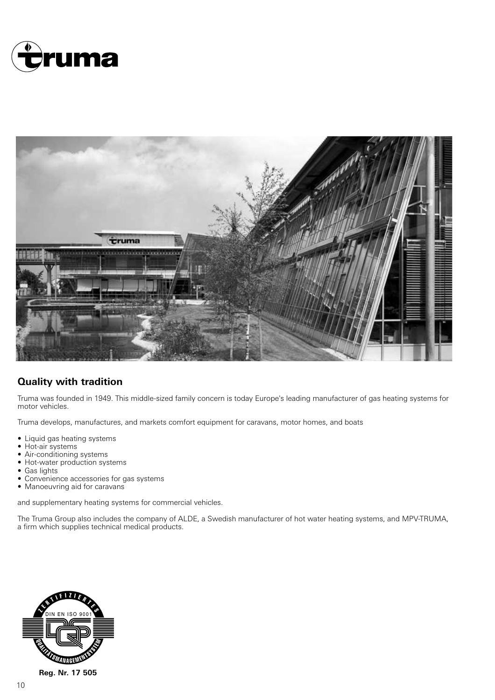



## **Quality with tradition**

Truma was founded in 1949. This middle-sized family concern is today Europe's leading manufacturer of gas heating systems for motor vehicles.

Truma develops, manufactures, and markets comfort equipment for caravans, motor homes, and boats

- Liquid gas heating systems
- Hot-air systems
- Air-conditioning systems
- Hot-water production systems
- Gas lights
- Convenience accessories for gas systems
- Manoeuvring aid for caravans

and supplementary heating systems for commercial vehicles.

The Truma Group also includes the company of ALDE, a Swedish manufacturer of hot water heating systems, and MPV-TRUMA, a firm which supplies technical medical products.

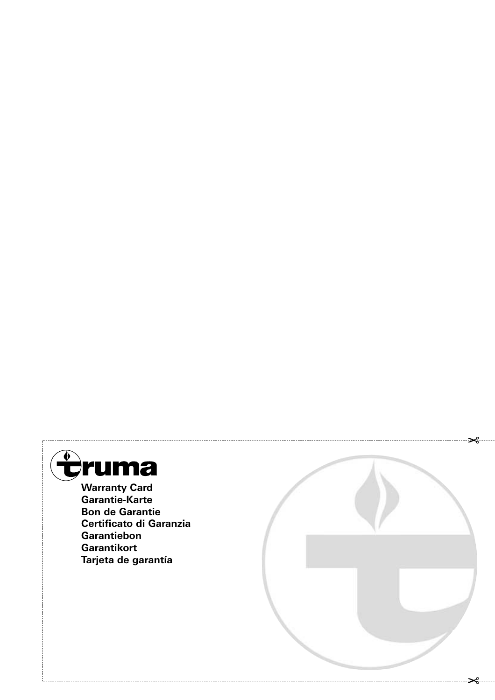

**Garantie-Karte Bon de Garantie Certificato di Garanzia Garantiebon Garantikort Tarjeta de garantía**